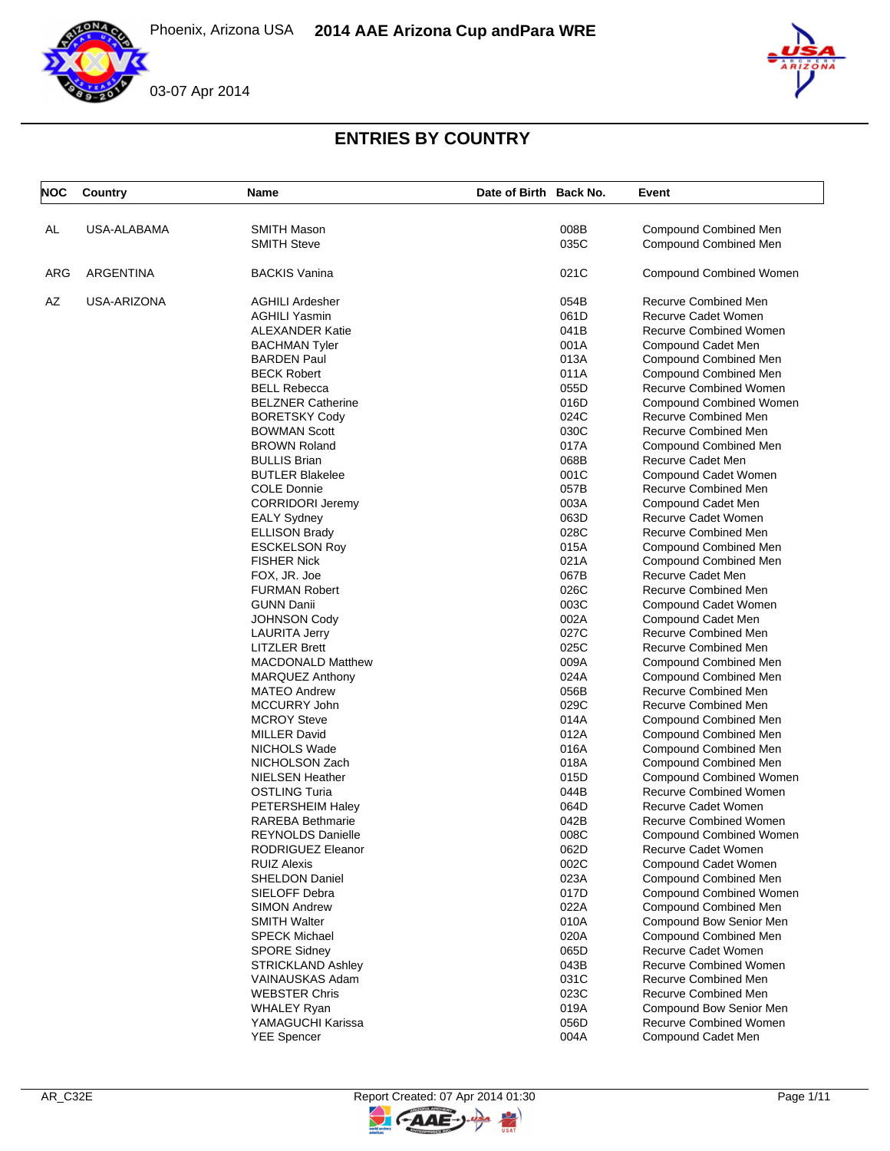





| <b>NOC</b> | Country          | Name                                     | Date of Birth Back No. |              | Event                                                |
|------------|------------------|------------------------------------------|------------------------|--------------|------------------------------------------------------|
| AL         | USA-ALABAMA      | <b>SMITH Mason</b>                       |                        | 008B         | Compound Combined Men                                |
|            |                  | <b>SMITH Steve</b>                       |                        | 035C         | Compound Combined Men                                |
| ARG        | <b>ARGENTINA</b> | <b>BACKIS Vanina</b>                     |                        | 021C         | <b>Compound Combined Women</b>                       |
| AZ         | USA-ARIZONA      | <b>AGHILI Ardesher</b>                   |                        | 054B         | Recurve Combined Men                                 |
|            |                  | <b>AGHILI Yasmin</b>                     |                        | 061D         | Recurve Cadet Women                                  |
|            |                  | <b>ALEXANDER Katie</b>                   |                        | 041B         | <b>Recurve Combined Women</b>                        |
|            |                  | <b>BACHMAN Tyler</b>                     |                        | 001A         | Compound Cadet Men                                   |
|            |                  | <b>BARDEN Paul</b>                       |                        | 013A         | Compound Combined Men                                |
|            |                  | <b>BECK Robert</b>                       |                        | 011A         | Compound Combined Men                                |
|            |                  | <b>BELL Rebecca</b>                      |                        | 055D         | <b>Recurve Combined Women</b>                        |
|            |                  | <b>BELZNER Catherine</b>                 |                        | 016D         | <b>Compound Combined Women</b>                       |
|            |                  | <b>BORETSKY Cody</b>                     |                        | 024C         | Recurve Combined Men                                 |
|            |                  | <b>BOWMAN Scott</b>                      |                        | 030C         | <b>Recurve Combined Men</b>                          |
|            |                  | <b>BROWN Roland</b>                      |                        | 017A         | Compound Combined Men                                |
|            |                  | <b>BULLIS Brian</b>                      |                        | 068B         | Recurve Cadet Men                                    |
|            |                  | <b>BUTLER Blakelee</b>                   |                        | 001C         | Compound Cadet Women                                 |
|            |                  | <b>COLE Donnie</b>                       |                        | 057B         | Recurve Combined Men                                 |
|            |                  | <b>CORRIDORI Jeremy</b>                  |                        | 003A         | Compound Cadet Men                                   |
|            |                  | <b>EALY Sydney</b>                       |                        | 063D         | Recurve Cadet Women                                  |
|            |                  | <b>ELLISON Brady</b>                     |                        | 028C         | Recurve Combined Men                                 |
|            |                  | <b>ESCKELSON Roy</b>                     |                        | 015A         | Compound Combined Men                                |
|            |                  | <b>FISHER Nick</b>                       |                        | 021A         | Compound Combined Men                                |
|            |                  | FOX, JR. Joe                             |                        | 067B         | Recurve Cadet Men                                    |
|            |                  | <b>FURMAN Robert</b>                     |                        | 026C         | <b>Recurve Combined Men</b>                          |
|            |                  | <b>GUNN Danii</b>                        |                        | 003C         | Compound Cadet Women                                 |
|            |                  | <b>JOHNSON Cody</b>                      |                        | 002A         | Compound Cadet Men                                   |
|            |                  | <b>LAURITA Jerry</b>                     |                        | 027C         | <b>Recurve Combined Men</b>                          |
|            |                  | <b>LITZLER Brett</b>                     |                        | 025C         | Recurve Combined Men                                 |
|            |                  | <b>MACDONALD Matthew</b>                 |                        | 009A         | Compound Combined Men                                |
|            |                  | <b>MARQUEZ Anthony</b>                   |                        | 024A         | Compound Combined Men                                |
|            |                  | <b>MATEO Andrew</b>                      |                        | 056B         | Recurve Combined Men                                 |
|            |                  | MCCURRY John                             |                        | 029C         | Recurve Combined Men                                 |
|            |                  | <b>MCROY Steve</b>                       |                        | 014A         | <b>Compound Combined Men</b>                         |
|            |                  | <b>MILLER David</b>                      |                        | 012A         | Compound Combined Men                                |
|            |                  | NICHOLS Wade                             |                        | 016A         | Compound Combined Men                                |
|            |                  | NICHOLSON Zach                           |                        | 018A         | Compound Combined Men                                |
|            |                  | <b>NIELSEN Heather</b>                   |                        | 015D         | Compound Combined Women                              |
|            |                  | <b>OSTLING Turia</b><br>PETERSHEIM Haley |                        | 044B<br>064D | <b>Recurve Combined Women</b><br>Recurve Cadet Women |
|            |                  | <b>RAREBA Bethmarie</b>                  |                        | 042B         | <b>Recurve Combined Women</b>                        |
|            |                  | <b>REYNOLDS Danielle</b>                 |                        | 008C         | <b>Compound Combined Women</b>                       |
|            |                  | RODRIGUEZ Eleanor                        |                        | 062D         | Recurve Cadet Women                                  |
|            |                  | <b>RUIZ Alexis</b>                       |                        | 002C         | Compound Cadet Women                                 |
|            |                  | <b>SHELDON Daniel</b>                    |                        | 023A         | <b>Compound Combined Men</b>                         |
|            |                  | SIELOFF Debra                            |                        | 017D         | Compound Combined Women                              |
|            |                  | <b>SIMON Andrew</b>                      |                        | 022A         | <b>Compound Combined Men</b>                         |
|            |                  | <b>SMITH Walter</b>                      |                        | 010A         | Compound Bow Senior Men                              |
|            |                  | <b>SPECK Michael</b>                     |                        | 020A         | Compound Combined Men                                |
|            |                  | <b>SPORE Sidney</b>                      |                        | 065D         | Recurve Cadet Women                                  |
|            |                  | <b>STRICKLAND Ashley</b>                 |                        | 043B         | <b>Recurve Combined Women</b>                        |
|            |                  | <b>VAINAUSKAS Adam</b>                   |                        | 031C         | Recurve Combined Men                                 |
|            |                  | <b>WEBSTER Chris</b>                     |                        | 023C         | Recurve Combined Men                                 |
|            |                  | <b>WHALEY Ryan</b>                       |                        | 019A         | Compound Bow Senior Men                              |
|            |                  | YAMAGUCHI Karissa                        |                        | 056D         | <b>Recurve Combined Women</b>                        |
|            |                  | <b>YEE Spencer</b>                       |                        | 004A         | Compound Cadet Men                                   |
|            |                  |                                          |                        |              |                                                      |

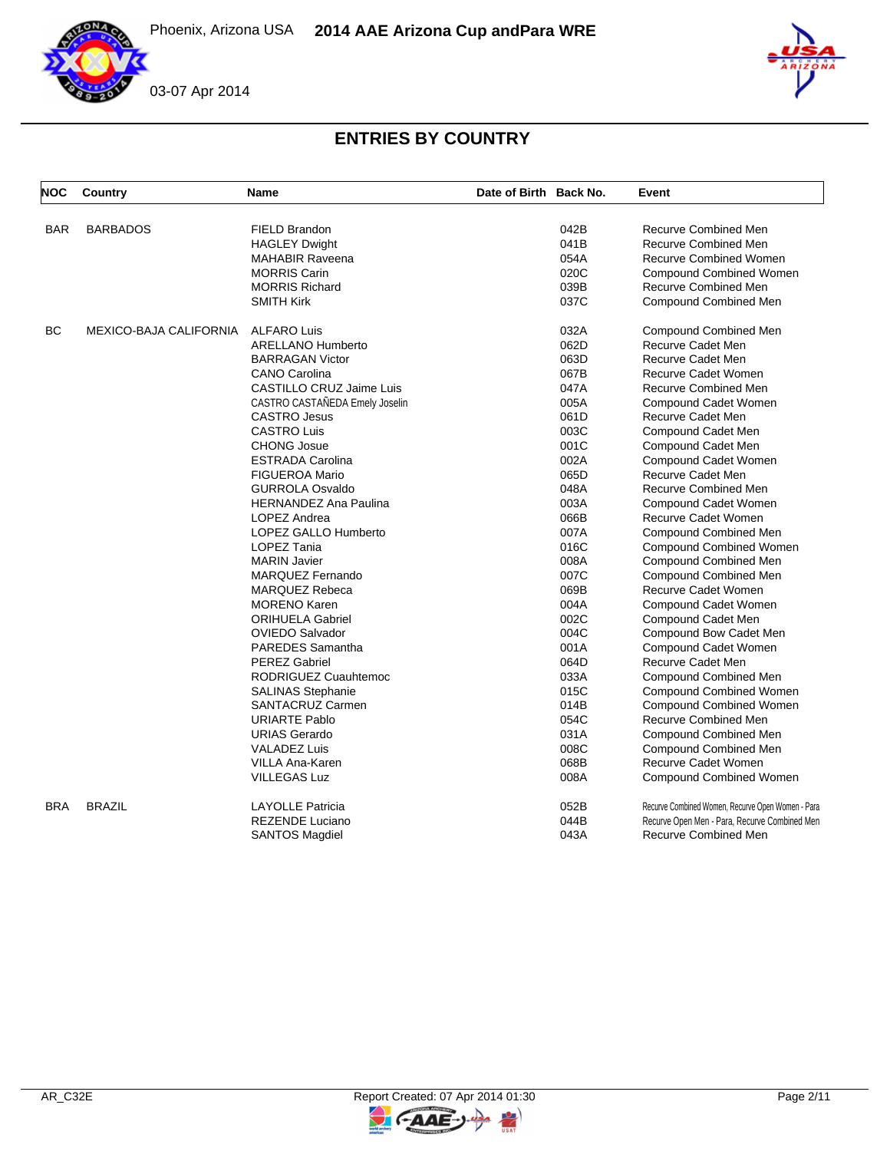



| <b>NOC</b> | Country                | Name                           | Date of Birth Back No. |      | Event                                             |
|------------|------------------------|--------------------------------|------------------------|------|---------------------------------------------------|
|            |                        |                                |                        |      |                                                   |
| <b>BAR</b> | <b>BARBADOS</b>        | <b>FIELD Brandon</b>           |                        | 042B | Recurve Combined Men                              |
|            |                        | <b>HAGLEY Dwight</b>           |                        | 041B | Recurve Combined Men                              |
|            |                        | <b>MAHABIR Raveena</b>         |                        | 054A | <b>Recurve Combined Women</b>                     |
|            |                        | <b>MORRIS Carin</b>            |                        | 020C | <b>Compound Combined Women</b>                    |
|            |                        | <b>MORRIS Richard</b>          |                        | 039B | <b>Recurve Combined Men</b>                       |
|            |                        | <b>SMITH Kirk</b>              |                        | 037C | <b>Compound Combined Men</b>                      |
| <b>BC</b>  | MEXICO-BAJA CALIFORNIA | <b>ALFARO Luis</b>             |                        | 032A | Compound Combined Men                             |
|            |                        | <b>ARELLANO Humberto</b>       |                        | 062D | Recurve Cadet Men                                 |
|            |                        | <b>BARRAGAN Victor</b>         |                        | 063D | Recurve Cadet Men                                 |
|            |                        | <b>CANO Carolina</b>           |                        | 067B | Recurve Cadet Women                               |
|            |                        | CASTILLO CRUZ Jaime Luis       |                        | 047A | <b>Recurve Combined Men</b>                       |
|            |                        | CASTRO CASTAÑEDA Emely Joselin |                        | 005A | Compound Cadet Women                              |
|            |                        | <b>CASTRO Jesus</b>            |                        | 061D | Recurve Cadet Men                                 |
|            |                        | <b>CASTRO Luis</b>             |                        | 003C | Compound Cadet Men                                |
|            |                        | <b>CHONG Josue</b>             |                        | 001C | Compound Cadet Men                                |
|            |                        | <b>ESTRADA Carolina</b>        |                        | 002A | Compound Cadet Women                              |
|            |                        | <b>FIGUEROA Mario</b>          |                        | 065D | Recurve Cadet Men                                 |
|            |                        | <b>GURROLA Osvaldo</b>         |                        | 048A | Recurve Combined Men                              |
|            |                        | <b>HERNANDEZ Ana Paulina</b>   |                        | 003A | Compound Cadet Women                              |
|            |                        | LOPEZ Andrea                   |                        | 066B | Recurve Cadet Women                               |
|            |                        | LOPEZ GALLO Humberto           |                        | 007A | <b>Compound Combined Men</b>                      |
|            |                        | LOPEZ Tania                    |                        | 016C | <b>Compound Combined Women</b>                    |
|            |                        | <b>MARIN Javier</b>            |                        | 008A | <b>Compound Combined Men</b>                      |
|            |                        | <b>MARQUEZ Fernando</b>        |                        | 007C | <b>Compound Combined Men</b>                      |
|            |                        | <b>MARQUEZ Rebeca</b>          |                        | 069B | <b>Recurve Cadet Women</b>                        |
|            |                        | <b>MORENO Karen</b>            |                        | 004A | Compound Cadet Women                              |
|            |                        | <b>ORIHUELA Gabriel</b>        |                        | 002C | Compound Cadet Men                                |
|            |                        | <b>OVIEDO Salvador</b>         |                        | 004C | Compound Bow Cadet Men                            |
|            |                        | PAREDES Samantha               |                        | 001A | Compound Cadet Women                              |
|            |                        | <b>PEREZ Gabriel</b>           |                        | 064D | <b>Recurve Cadet Men</b>                          |
|            |                        | RODRIGUEZ Cuauhtemoc           |                        | 033A | Compound Combined Men                             |
|            |                        | <b>SALINAS Stephanie</b>       |                        | 015C | <b>Compound Combined Women</b>                    |
|            |                        | SANTACRUZ Carmen               |                        | 014B | <b>Compound Combined Women</b>                    |
|            |                        | <b>URIARTE Pablo</b>           |                        | 054C | Recurve Combined Men                              |
|            |                        | <b>URIAS Gerardo</b>           |                        | 031A | Compound Combined Men                             |
|            |                        | <b>VALADEZ Luis</b>            |                        | 008C | Compound Combined Men                             |
|            |                        | <b>VILLA Ana-Karen</b>         |                        | 068B | Recurve Cadet Women                               |
|            |                        | <b>VILLEGAS Luz</b>            |                        | 008A | <b>Compound Combined Women</b>                    |
| <b>BRA</b> | <b>BRAZIL</b>          | <b>LAYOLLE Patricia</b>        |                        | 052B | Recurve Combined Women, Recurve Open Women - Para |
|            |                        | <b>REZENDE Luciano</b>         |                        | 044B | Recurve Open Men - Para, Recurve Combined Men     |
|            |                        | <b>SANTOS Magdiel</b>          |                        | 043A | <b>Recurve Combined Men</b>                       |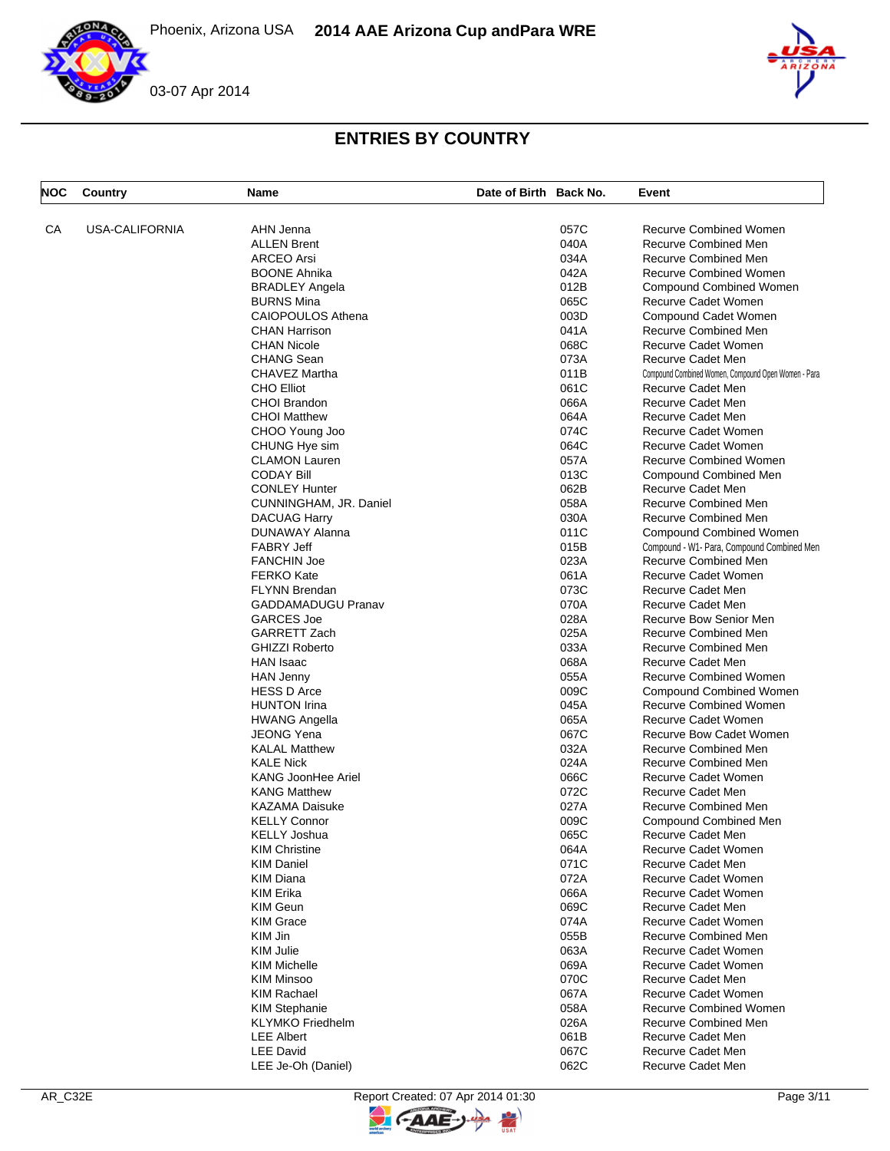



| <b>NOC</b> | Country               | <b>Name</b>               | Date of Birth Back No. |      | Event                                               |
|------------|-----------------------|---------------------------|------------------------|------|-----------------------------------------------------|
| СA         | <b>USA-CALIFORNIA</b> | AHN Jenna                 |                        | 057C | <b>Recurve Combined Women</b>                       |
|            |                       | <b>ALLEN Brent</b>        |                        | 040A | <b>Recurve Combined Men</b>                         |
|            |                       | <b>ARCEO Arsi</b>         |                        | 034A | <b>Recurve Combined Men</b>                         |
|            |                       | <b>BOONE Ahnika</b>       |                        | 042A | <b>Recurve Combined Women</b>                       |
|            |                       | <b>BRADLEY Angela</b>     |                        | 012B | <b>Compound Combined Women</b>                      |
|            |                       | <b>BURNS Mina</b>         |                        | 065C | Recurve Cadet Women                                 |
|            |                       |                           |                        |      |                                                     |
|            |                       | CAIOPOULOS Athena         |                        | 003D | <b>Compound Cadet Women</b>                         |
|            |                       | <b>CHAN Harrison</b>      |                        | 041A | Recurve Combined Men                                |
|            |                       | <b>CHAN Nicole</b>        |                        | 068C | Recurve Cadet Women                                 |
|            |                       | <b>CHANG Sean</b>         |                        | 073A | Recurve Cadet Men                                   |
|            |                       | CHAVEZ Martha             |                        | 011B | Compound Combined Women, Compound Open Women - Para |
|            |                       | <b>CHO Elliot</b>         |                        | 061C | Recurve Cadet Men                                   |
|            |                       | CHOI Brandon              |                        | 066A | Recurve Cadet Men                                   |
|            |                       | <b>CHOI Matthew</b>       |                        | 064A | Recurve Cadet Men                                   |
|            |                       | CHOO Young Joo            |                        | 074C | Recurve Cadet Women                                 |
|            |                       | CHUNG Hye sim             |                        | 064C | Recurve Cadet Women                                 |
|            |                       | <b>CLAMON Lauren</b>      |                        | 057A | <b>Recurve Combined Women</b>                       |
|            |                       | <b>CODAY Bill</b>         |                        | 013C | Compound Combined Men                               |
|            |                       | <b>CONLEY Hunter</b>      |                        | 062B | Recurve Cadet Men                                   |
|            |                       | CUNNINGHAM, JR. Daniel    |                        | 058A | <b>Recurve Combined Men</b>                         |
|            |                       | <b>DACUAG Harry</b>       |                        | 030A | Recurve Combined Men                                |
|            |                       | DUNAWAY Alanna            |                        | 011C | <b>Compound Combined Women</b>                      |
|            |                       | <b>FABRY Jeff</b>         |                        | 015B | Compound - W1- Para, Compound Combined Men          |
|            |                       | <b>FANCHIN Joe</b>        |                        | 023A | Recurve Combined Men                                |
|            |                       | <b>FERKO Kate</b>         |                        | 061A | Recurve Cadet Women                                 |
|            |                       | <b>FLYNN Brendan</b>      |                        | 073C | Recurve Cadet Men                                   |
|            |                       | <b>GADDAMADUGU Pranav</b> |                        | 070A | Recurve Cadet Men                                   |
|            |                       | <b>GARCES Joe</b>         |                        | 028A | Recurve Bow Senior Men                              |
|            |                       |                           |                        |      | <b>Recurve Combined Men</b>                         |
|            |                       | <b>GARRETT Zach</b>       |                        | 025A |                                                     |
|            |                       | <b>GHIZZI Roberto</b>     |                        | 033A | <b>Recurve Combined Men</b>                         |
|            |                       | HAN Isaac                 |                        | 068A | Recurve Cadet Men                                   |
|            |                       | <b>HAN Jenny</b>          |                        | 055A | <b>Recurve Combined Women</b>                       |
|            |                       | <b>HESS D Arce</b>        |                        | 009C | Compound Combined Women                             |
|            |                       | <b>HUNTON Irina</b>       |                        | 045A | <b>Recurve Combined Women</b>                       |
|            |                       | <b>HWANG Angella</b>      |                        | 065A | Recurve Cadet Women                                 |
|            |                       | <b>JEONG Yena</b>         |                        | 067C | <b>Recurve Bow Cadet Women</b>                      |
|            |                       | <b>KALAL Matthew</b>      |                        | 032A | <b>Recurve Combined Men</b>                         |
|            |                       | <b>KALE Nick</b>          |                        | 024A | <b>Recurve Combined Men</b>                         |
|            |                       | <b>KANG JoonHee Ariel</b> |                        | 066C | <b>Recurve Cadet Women</b>                          |
|            |                       | <b>KANG Matthew</b>       |                        | 072C | Recurve Cadet Men                                   |
|            |                       | <b>KAZAMA Daisuke</b>     |                        | 027A | <b>Recurve Combined Men</b>                         |
|            |                       | <b>KELLY Connor</b>       |                        | 009C | Compound Combined Men                               |
|            |                       | KELLY Joshua              |                        | 065C | Recurve Cadet Men                                   |
|            |                       | <b>KIM Christine</b>      |                        | 064A | Recurve Cadet Women                                 |
|            |                       | <b>KIM Daniel</b>         |                        | 071C | Recurve Cadet Men                                   |
|            |                       | <b>KIM Diana</b>          |                        | 072A | Recurve Cadet Women                                 |
|            |                       | KIM Erika                 |                        | 066A | Recurve Cadet Women                                 |
|            |                       | <b>KIM Geun</b>           |                        | 069C | Recurve Cadet Men                                   |
|            |                       | <b>KIM Grace</b>          |                        | 074A | Recurve Cadet Women                                 |
|            |                       | KIM Jin                   |                        | 055B | Recurve Combined Men                                |
|            |                       | <b>KIM Julie</b>          |                        | 063A | Recurve Cadet Women                                 |
|            |                       | <b>KIM Michelle</b>       |                        | 069A | Recurve Cadet Women                                 |
|            |                       |                           |                        |      |                                                     |
|            |                       | <b>KIM Minsoo</b>         |                        | 070C | Recurve Cadet Men                                   |
|            |                       | <b>KIM Rachael</b>        |                        | 067A | Recurve Cadet Women                                 |
|            |                       | <b>KIM Stephanie</b>      |                        | 058A | <b>Recurve Combined Women</b>                       |
|            |                       | <b>KLYMKO</b> Friedhelm   |                        | 026A | Recurve Combined Men                                |
|            |                       | <b>LEE Albert</b>         |                        | 061B | Recurve Cadet Men                                   |
|            |                       | <b>LEE David</b>          |                        | 067C | Recurve Cadet Men                                   |
|            |                       | LEE Je-Oh (Daniel)        |                        | 062C | Recurve Cadet Men                                   |

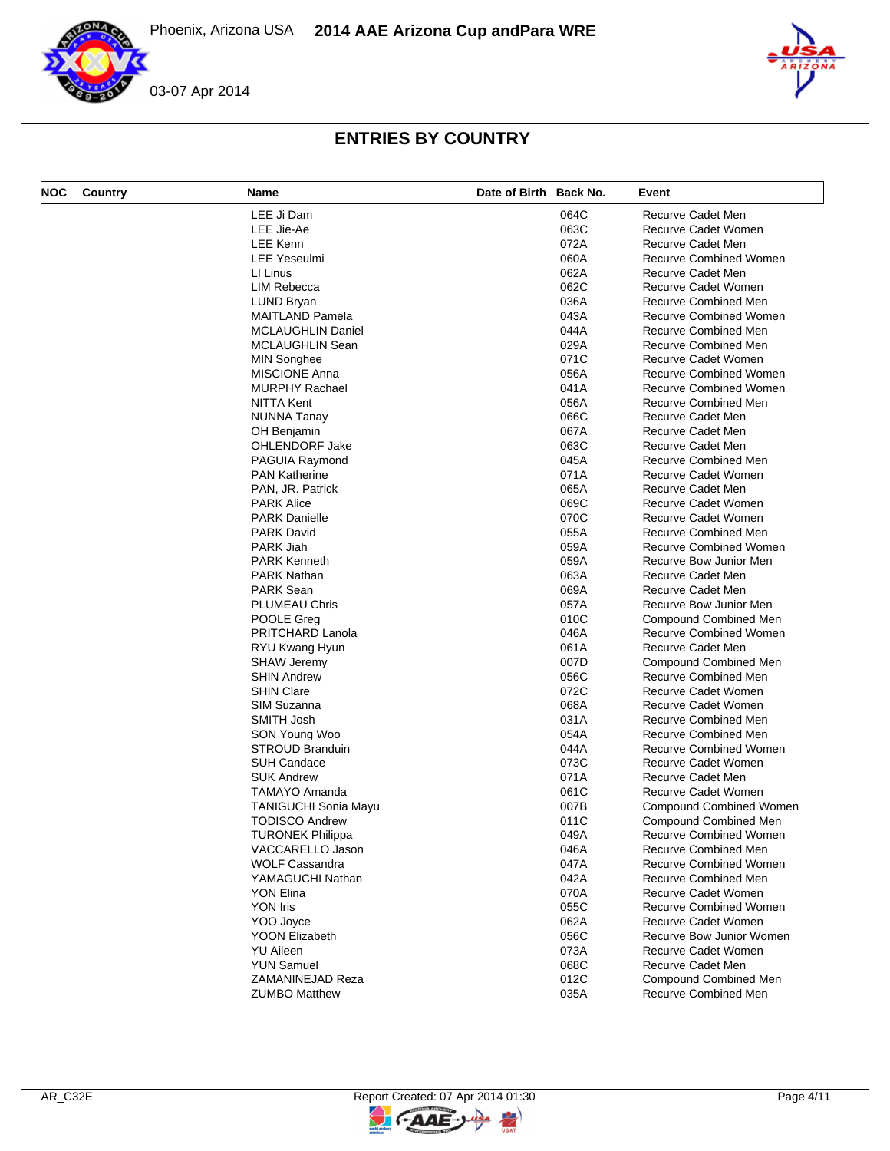



| NOC | Country | Name                        | Date of Birth Back No. |      | Event                         |
|-----|---------|-----------------------------|------------------------|------|-------------------------------|
|     |         | LEE Ji Dam                  |                        | 064C | Recurve Cadet Men             |
|     |         | LEE Jie-Ae                  |                        | 063C | Recurve Cadet Women           |
|     |         | <b>LEE Kenn</b>             |                        | 072A | Recurve Cadet Men             |
|     |         | <b>LEE Yeseulmi</b>         |                        | 060A | <b>Recurve Combined Women</b> |
|     |         | LI Linus                    |                        | 062A | Recurve Cadet Men             |
|     |         | <b>LIM Rebecca</b>          |                        | 062C | Recurve Cadet Women           |
|     |         | LUND Bryan                  |                        | 036A | <b>Recurve Combined Men</b>   |
|     |         | <b>MAITLAND Pamela</b>      |                        | 043A | <b>Recurve Combined Women</b> |
|     |         | <b>MCLAUGHLIN Daniel</b>    |                        | 044A | Recurve Combined Men          |
|     |         | MCLAUGHLIN Sean             |                        | 029A | Recurve Combined Men          |
|     |         | <b>MIN Songhee</b>          |                        | 071C | Recurve Cadet Women           |
|     |         | <b>MISCIONE Anna</b>        |                        | 056A | <b>Recurve Combined Women</b> |
|     |         | <b>MURPHY Rachael</b>       |                        | 041A | <b>Recurve Combined Women</b> |
|     |         | NITTA Kent                  |                        | 056A | Recurve Combined Men          |
|     |         | NUNNA Tanay                 |                        | 066C | Recurve Cadet Men             |
|     |         | OH Benjamin                 |                        | 067A | Recurve Cadet Men             |
|     |         | OHLENDORF Jake              |                        | 063C | Recurve Cadet Men             |
|     |         | PAGUIA Raymond              |                        | 045A | Recurve Combined Men          |
|     |         |                             |                        | 071A |                               |
|     |         | <b>PAN Katherine</b>        |                        |      | Recurve Cadet Women           |
|     |         | PAN, JR. Patrick            |                        | 065A | Recurve Cadet Men             |
|     |         | <b>PARK Alice</b>           |                        | 069C | Recurve Cadet Women           |
|     |         | <b>PARK Danielle</b>        |                        | 070C | Recurve Cadet Women           |
|     |         | <b>PARK David</b>           |                        | 055A | Recurve Combined Men          |
|     |         | PARK Jiah                   |                        | 059A | <b>Recurve Combined Women</b> |
|     |         | <b>PARK Kenneth</b>         |                        | 059A | Recurve Bow Junior Men        |
|     |         | <b>PARK Nathan</b>          |                        | 063A | Recurve Cadet Men             |
|     |         | <b>PARK Sean</b>            |                        | 069A | Recurve Cadet Men             |
|     |         | <b>PLUMEAU Chris</b>        |                        | 057A | Recurve Bow Junior Men        |
|     |         | POOLE Greg                  |                        | 010C | Compound Combined Men         |
|     |         | PRITCHARD Lanola            |                        | 046A | <b>Recurve Combined Women</b> |
|     |         | RYU Kwang Hyun              |                        | 061A | Recurve Cadet Men             |
|     |         | <b>SHAW Jeremy</b>          |                        | 007D | Compound Combined Men         |
|     |         | <b>SHIN Andrew</b>          |                        | 056C | Recurve Combined Men          |
|     |         | <b>SHIN Clare</b>           |                        | 072C | Recurve Cadet Women           |
|     |         | SIM Suzanna                 |                        | 068A | Recurve Cadet Women           |
|     |         | SMITH Josh                  |                        | 031A | Recurve Combined Men          |
|     |         | SON Young Woo               |                        | 054A | Recurve Combined Men          |
|     |         | <b>STROUD Branduin</b>      |                        | 044A | <b>Recurve Combined Women</b> |
|     |         | <b>SUH Candace</b>          |                        | 073C | Recurve Cadet Women           |
|     |         | <b>SUK Andrew</b>           |                        | 071A | Recurve Cadet Men             |
|     |         | <b>TAMAYO Amanda</b>        |                        | 061C | Recurve Cadet Women           |
|     |         | <b>TANIGUCHI Sonia Mayu</b> |                        | 007B | Compound Combined Women       |
|     |         | <b>TODISCO Andrew</b>       |                        | 011C | <b>Compound Combined Men</b>  |
|     |         |                             |                        |      |                               |
|     |         | <b>TURONEK Philippa</b>     |                        | 049A | <b>Recurve Combined Women</b> |
|     |         | VACCARELLO Jason            |                        | 046A | Recurve Combined Men          |
|     |         | <b>WOLF Cassandra</b>       |                        | 047A | <b>Recurve Combined Women</b> |
|     |         | YAMAGUCHI Nathan            |                        | 042A | Recurve Combined Men          |
|     |         | YON Elina                   |                        | 070A | Recurve Cadet Women           |
|     |         | <b>YON Iris</b>             |                        | 055C | <b>Recurve Combined Women</b> |
|     |         | YOO Joyce                   |                        | 062A | Recurve Cadet Women           |
|     |         | <b>YOON Elizabeth</b>       |                        | 056C | Recurve Bow Junior Women      |
|     |         | <b>YU Aileen</b>            |                        | 073A | Recurve Cadet Women           |
|     |         |                             |                        |      |                               |
|     |         | <b>YUN Samuel</b>           |                        | 068C | Recurve Cadet Men             |
|     |         | ZAMANINEJAD Reza            |                        | 012C | Compound Combined Men         |

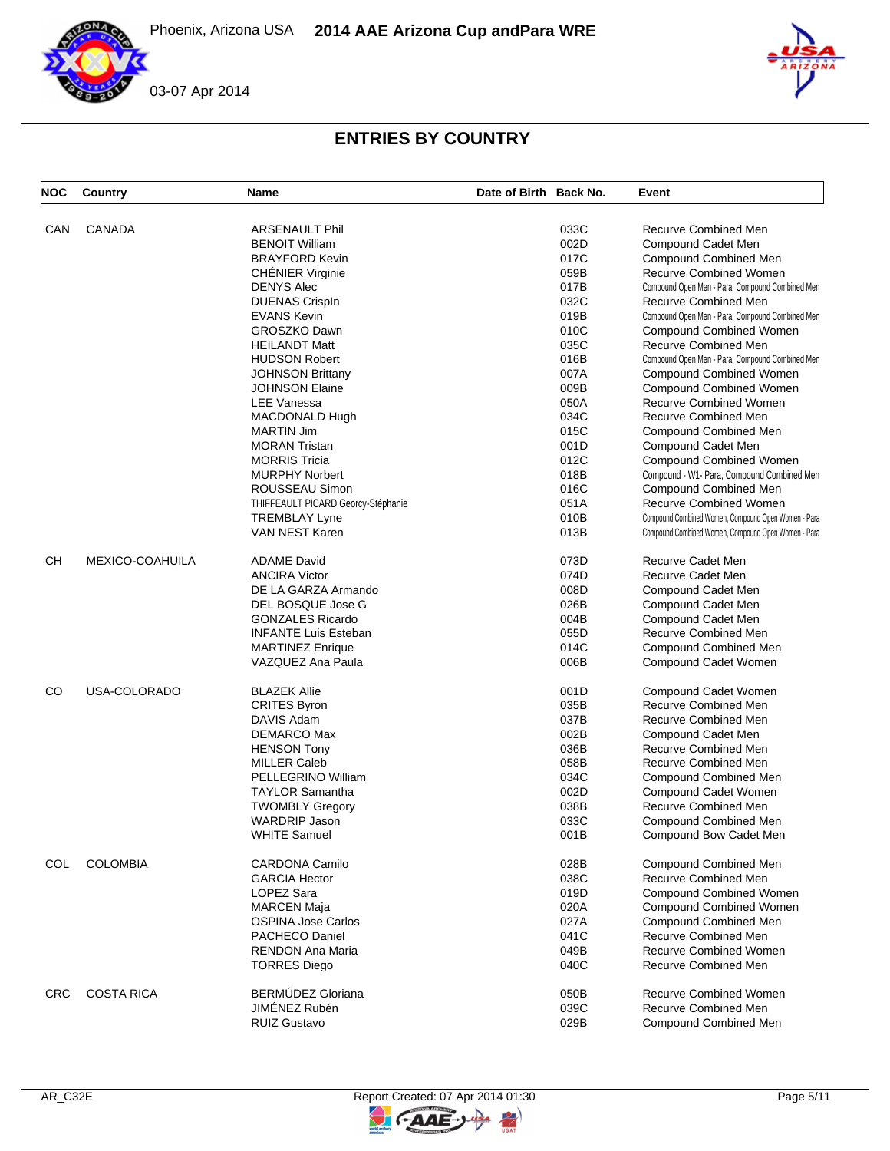

| <b>NOC</b> | Country           | <b>Name</b>                        | Date of Birth Back No. |      | Event                                               |
|------------|-------------------|------------------------------------|------------------------|------|-----------------------------------------------------|
| CAN        | <b>CANADA</b>     | <b>ARSENAULT Phil</b>              |                        | 033C | Recurve Combined Men                                |
|            |                   | <b>BENOIT William</b>              |                        | 002D | Compound Cadet Men                                  |
|            |                   | <b>BRAYFORD Kevin</b>              |                        | 017C | <b>Compound Combined Men</b>                        |
|            |                   |                                    |                        |      | <b>Recurve Combined Women</b>                       |
|            |                   | <b>CHÉNIER Virginie</b>            |                        | 059B |                                                     |
|            |                   | <b>DENYS Alec</b>                  |                        | 017B | Compound Open Men - Para, Compound Combined Men     |
|            |                   | <b>DUENAS CrispIn</b>              |                        | 032C | Recurve Combined Men                                |
|            |                   | <b>EVANS Kevin</b>                 |                        | 019B | Compound Open Men - Para, Compound Combined Men     |
|            |                   | GROSZKO Dawn                       |                        | 010C | <b>Compound Combined Women</b>                      |
|            |                   | <b>HEILANDT Matt</b>               |                        | 035C | Recurve Combined Men                                |
|            |                   | <b>HUDSON Robert</b>               |                        | 016B | Compound Open Men - Para, Compound Combined Men     |
|            |                   | <b>JOHNSON Brittany</b>            |                        | 007A | <b>Compound Combined Women</b>                      |
|            |                   | <b>JOHNSON Elaine</b>              |                        | 009B | <b>Compound Combined Women</b>                      |
|            |                   | <b>LEE Vanessa</b>                 |                        | 050A | <b>Recurve Combined Women</b>                       |
|            |                   | MACDONALD Hugh                     |                        | 034C | Recurve Combined Men                                |
|            |                   | <b>MARTIN Jim</b>                  |                        | 015C | Compound Combined Men                               |
|            |                   | <b>MORAN Tristan</b>               |                        | 001D |                                                     |
|            |                   |                                    |                        |      | Compound Cadet Men                                  |
|            |                   | <b>MORRIS Tricia</b>               |                        | 012C | Compound Combined Women                             |
|            |                   | <b>MURPHY Norbert</b>              |                        | 018B | Compound - W1- Para, Compound Combined Men          |
|            |                   | ROUSSEAU Simon                     |                        | 016C | <b>Compound Combined Men</b>                        |
|            |                   | THIFFEAULT PICARD Georcy-Stéphanie |                        | 051A | Recurve Combined Women                              |
|            |                   | <b>TREMBLAY Lyne</b>               |                        | 010B | Compound Combined Women, Compound Open Women - Para |
|            |                   | VAN NEST Karen                     |                        | 013B | Compound Combined Women, Compound Open Women - Para |
| CН         | MEXICO-COAHUILA   | <b>ADAME David</b>                 |                        | 073D | Recurve Cadet Men                                   |
|            |                   | <b>ANCIRA Victor</b>               |                        | 074D | Recurve Cadet Men                                   |
|            |                   | DE LA GARZA Armando                |                        | 008D | Compound Cadet Men                                  |
|            |                   | DEL BOSQUE Jose G                  |                        | 026B | Compound Cadet Men                                  |
|            |                   | <b>GONZALES Ricardo</b>            |                        | 004B | Compound Cadet Men                                  |
|            |                   | <b>INFANTE Luis Esteban</b>        |                        | 055D | Recurve Combined Men                                |
|            |                   | <b>MARTINEZ Enrique</b>            |                        | 014C | Compound Combined Men                               |
|            |                   | VAZQUEZ Ana Paula                  |                        | 006B | Compound Cadet Women                                |
| CO         | USA-COLORADO      | <b>BLAZEK Allie</b>                |                        | 001D | Compound Cadet Women                                |
|            |                   | <b>CRITES Byron</b>                |                        | 035B | Recurve Combined Men                                |
|            |                   | DAVIS Adam                         |                        | 037B | Recurve Combined Men                                |
|            |                   |                                    |                        |      |                                                     |
|            |                   | DEMARCO Max                        |                        | 002B | Compound Cadet Men                                  |
|            |                   | <b>HENSON Tony</b>                 |                        | 036B | Recurve Combined Men                                |
|            |                   | <b>MILLER Caleb</b>                |                        | 058B | <b>Recurve Combined Men</b>                         |
|            |                   | PELLEGRINO William                 |                        | 034C | Compound Combined Men                               |
|            |                   | <b>TAYLOR Samantha</b>             |                        | 002D | Compound Cadet Women                                |
|            |                   | <b>TWOMBLY Gregory</b>             |                        | 038B | Recurve Combined Men                                |
|            |                   | <b>WARDRIP Jason</b>               |                        | 033C | Compound Combined Men                               |
|            |                   | <b>WHITE Samuel</b>                |                        | 001B | Compound Bow Cadet Men                              |
| COL        | <b>COLOMBIA</b>   | <b>CARDONA Camilo</b>              |                        | 028B | Compound Combined Men                               |
|            |                   | <b>GARCIA Hector</b>               |                        | 038C | Recurve Combined Men                                |
|            |                   | LOPEZ Sara                         |                        | 019D | <b>Compound Combined Women</b>                      |
|            |                   | <b>MARCEN Maja</b>                 |                        | 020A | <b>Compound Combined Women</b>                      |
|            |                   | <b>OSPINA Jose Carlos</b>          |                        | 027A | Compound Combined Men                               |
|            |                   | PACHECO Daniel                     |                        | 041C | Recurve Combined Men                                |
|            |                   | <b>RENDON Ana Maria</b>            |                        | 049B | <b>Recurve Combined Women</b>                       |
|            |                   | <b>TORRES Diego</b>                |                        | 040C | <b>Recurve Combined Men</b>                         |
| <b>CRC</b> | <b>COSTA RICA</b> | BERMÚDEZ Gloriana                  |                        | 050B | <b>Recurve Combined Women</b>                       |
|            |                   | JIMÉNEZ Rubén                      |                        | 039C | <b>Recurve Combined Men</b>                         |
|            |                   |                                    |                        |      |                                                     |
|            |                   | <b>RUIZ Gustavo</b>                |                        | 029B | <b>Compound Combined Men</b>                        |

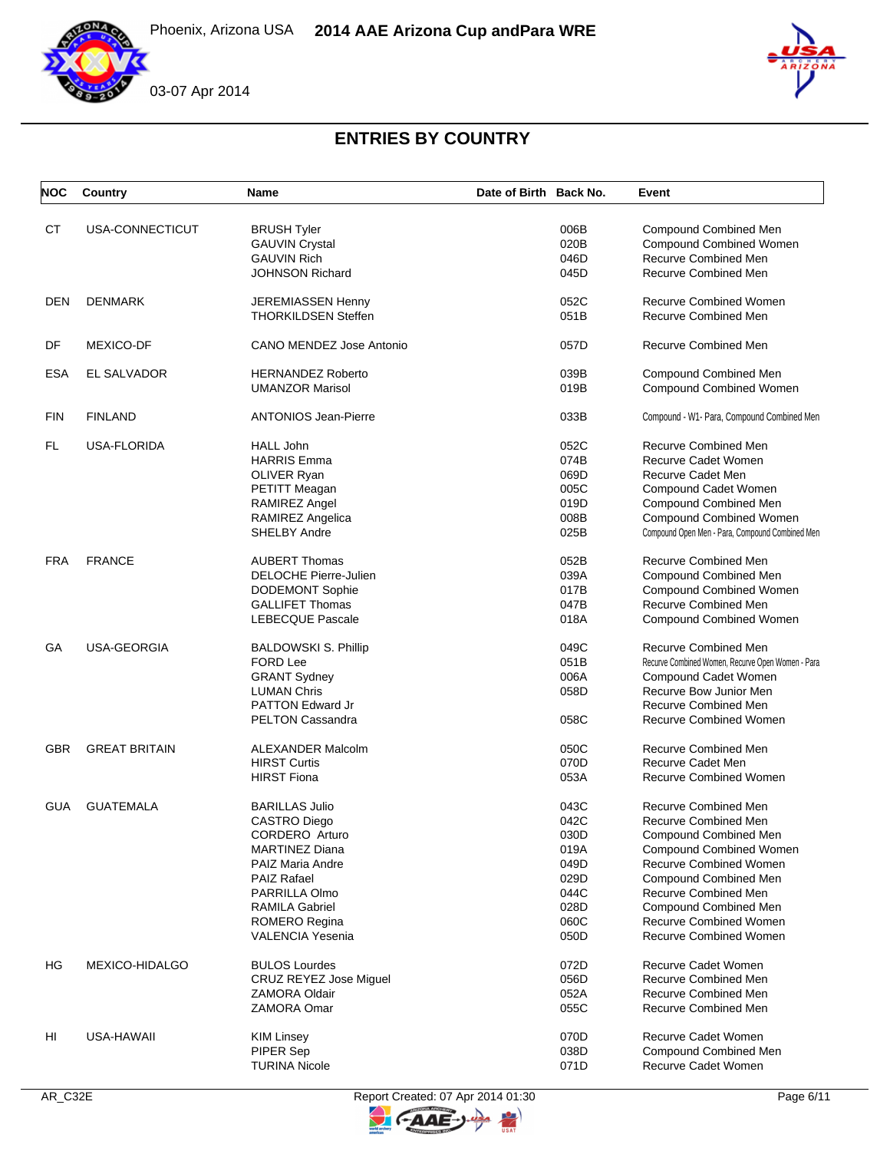





| <b>NOC</b> | Country              | <b>Name</b>                   | Date of Birth Back No. | Event                                             |
|------------|----------------------|-------------------------------|------------------------|---------------------------------------------------|
| <b>CT</b>  | USA-CONNECTICUT      | <b>BRUSH Tyler</b>            | 006B                   | <b>Compound Combined Men</b>                      |
|            |                      | <b>GAUVIN Crystal</b>         | 020B                   | <b>Compound Combined Women</b>                    |
|            |                      | <b>GAUVIN Rich</b>            | 046D                   | Recurve Combined Men                              |
|            |                      | JOHNSON Richard               | 045D                   | <b>Recurve Combined Men</b>                       |
| DEN        | <b>DENMARK</b>       | JEREMIASSEN Henny             | 052C                   | <b>Recurve Combined Women</b>                     |
|            |                      | <b>THORKILDSEN Steffen</b>    | 051B                   | <b>Recurve Combined Men</b>                       |
| DF         | <b>MEXICO-DF</b>     | CANO MENDEZ Jose Antonio      | 057D                   | Recurve Combined Men                              |
| <b>ESA</b> | EL SALVADOR          | <b>HERNANDEZ Roberto</b>      | 039B                   | Compound Combined Men                             |
|            |                      | <b>UMANZOR Marisol</b>        | 019B                   | <b>Compound Combined Women</b>                    |
| <b>FIN</b> | <b>FINLAND</b>       | <b>ANTONIOS Jean-Pierre</b>   | 033B                   | Compound - W1- Para, Compound Combined Men        |
| FL         | USA-FLORIDA          | <b>HALL John</b>              | 052C                   | <b>Recurve Combined Men</b>                       |
|            |                      | HARRIS Emma                   | 074B                   | Recurve Cadet Women                               |
|            |                      | OLIVER Ryan                   | 069D                   | <b>Recurve Cadet Men</b>                          |
|            |                      | PETITT Meagan                 | 005C                   | Compound Cadet Women                              |
|            |                      | RAMIREZ Angel                 | 019D                   | Compound Combined Men                             |
|            |                      | RAMIREZ Angelica              | 008B                   | <b>Compound Combined Women</b>                    |
|            |                      | <b>SHELBY Andre</b>           | 025B                   | Compound Open Men - Para, Compound Combined Men   |
| <b>FRA</b> | <b>FRANCE</b>        | <b>AUBERT Thomas</b>          | 052B                   | Recurve Combined Men                              |
|            |                      | DELOCHE Pierre-Julien         | 039A                   | <b>Compound Combined Men</b>                      |
|            |                      | <b>DODEMONT Sophie</b>        | 017B                   | <b>Compound Combined Women</b>                    |
|            |                      | <b>GALLIFET Thomas</b>        | 047B                   | Recurve Combined Men                              |
|            |                      | LEBECQUE Pascale              | 018A                   | Compound Combined Women                           |
| GА         | USA-GEORGIA          | <b>BALDOWSKI S. Phillip</b>   | 049C                   | Recurve Combined Men                              |
|            |                      | <b>FORD Lee</b>               | 051B                   | Recurve Combined Women, Recurve Open Women - Para |
|            |                      | <b>GRANT Sydney</b>           | 006A                   | Compound Cadet Women                              |
|            |                      | <b>LUMAN Chris</b>            | 058D                   | Recurve Bow Junior Men                            |
|            |                      | <b>PATTON Edward Jr</b>       |                        | <b>Recurve Combined Men</b>                       |
|            |                      | <b>PELTON Cassandra</b>       | 058C                   | <b>Recurve Combined Women</b>                     |
| <b>GBR</b> | <b>GREAT BRITAIN</b> | <b>ALEXANDER Malcolm</b>      | 050C                   | Recurve Combined Men                              |
|            |                      | <b>HIRST Curtis</b>           | 070D                   | Recurve Cadet Men                                 |
|            |                      | <b>HIRST Fiona</b>            | 053A                   | <b>Recurve Combined Women</b>                     |
| <b>GUA</b> | <b>GUATEMALA</b>     | <b>BARILLAS Julio</b>         | 043C                   | <b>Recurve Combined Men</b>                       |
|            |                      | <b>CASTRO Diego</b>           | 042C                   | Recurve Combined Men                              |
|            |                      | CORDERO Arturo                | 030D                   | Compound Combined Men                             |
|            |                      | <b>MARTINEZ Diana</b>         | 019A                   | <b>Compound Combined Women</b>                    |
|            |                      | PAIZ Maria Andre              | 049D                   | Recurve Combined Women                            |
|            |                      | PAIZ Rafael                   | 029D                   | Compound Combined Men                             |
|            |                      | <b>PARRILLA Olmo</b>          | 044C                   | Recurve Combined Men                              |
|            |                      | <b>RAMILA Gabriel</b>         | 028D                   | Compound Combined Men                             |
|            |                      | <b>ROMERO Regina</b>          | 060C                   | <b>Recurve Combined Women</b>                     |
|            |                      | VALENCIA Yesenia              | 050D                   | <b>Recurve Combined Women</b>                     |
| HG         | MEXICO-HIDALGO       | <b>BULOS Lourdes</b>          | 072D                   | Recurve Cadet Women                               |
|            |                      | <b>CRUZ REYEZ Jose Miquel</b> | 056D                   | <b>Recurve Combined Men</b>                       |
|            |                      | <b>ZAMORA Oldair</b>          | 052A                   | <b>Recurve Combined Men</b>                       |
|            |                      | ZAMORA Omar                   | 055C                   | Recurve Combined Men                              |
| HI         | USA-HAWAII           | KIM Linsey                    | 070D                   | Recurve Cadet Women                               |
|            |                      | PIPER Sep                     | 038D                   | <b>Compound Combined Men</b>                      |
|            |                      | <b>TURINA Nicole</b>          | 071D                   | Recurve Cadet Women                               |



**CAAE** 

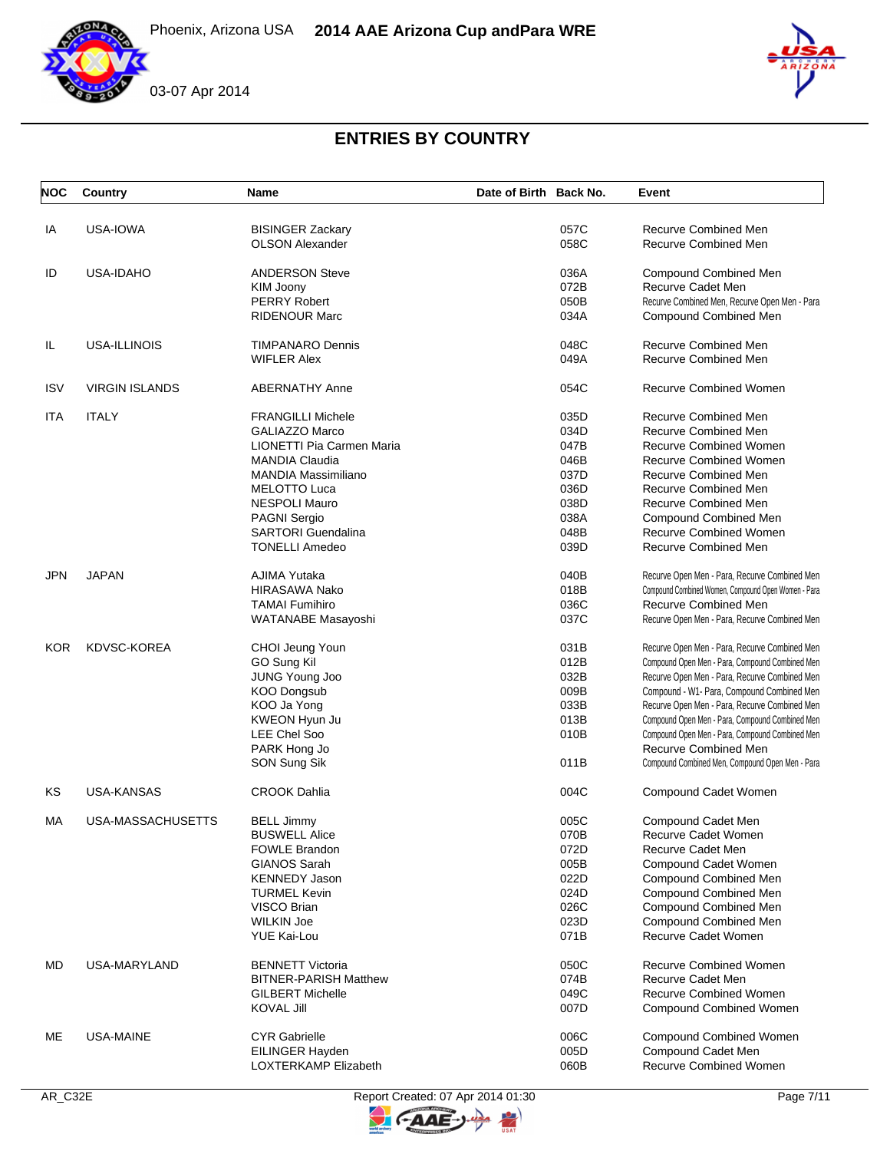





| <b>NOC</b> | Country               | Name                         | Date of Birth Back No. | Event                                               |
|------------|-----------------------|------------------------------|------------------------|-----------------------------------------------------|
| IA         | USA-IOWA              | <b>BISINGER Zackary</b>      | 057C                   | Recurve Combined Men                                |
|            |                       | <b>OLSON Alexander</b>       | 058C                   | <b>Recurve Combined Men</b>                         |
| ID         | USA-IDAHO             | <b>ANDERSON Steve</b>        | 036A                   | Compound Combined Men                               |
|            |                       | KIM Joony                    | 072B                   | Recurve Cadet Men                                   |
|            |                       | <b>PERRY Robert</b>          | 050B                   | Recurve Combined Men, Recurve Open Men - Para       |
|            |                       | <b>RIDENOUR Marc</b>         | 034A                   | Compound Combined Men                               |
| IL         | USA-ILLINOIS          | <b>TIMPANARO Dennis</b>      | 048C                   | <b>Recurve Combined Men</b>                         |
|            |                       | <b>WIFLER Alex</b>           | 049A                   | Recurve Combined Men                                |
| <b>ISV</b> | <b>VIRGIN ISLANDS</b> | <b>ABERNATHY Anne</b>        | 054C                   | <b>Recurve Combined Women</b>                       |
| ITA        | <b>ITALY</b>          | <b>FRANGILLI Michele</b>     | 035D                   | Recurve Combined Men                                |
|            |                       | <b>GALIAZZO Marco</b>        | 034D                   | <b>Recurve Combined Men</b>                         |
|            |                       | LIONETTI Pia Carmen Maria    | 047B                   | <b>Recurve Combined Women</b>                       |
|            |                       | <b>MANDIA Claudia</b>        | 046B                   | <b>Recurve Combined Women</b>                       |
|            |                       | <b>MANDIA Massimiliano</b>   | 037D                   | <b>Recurve Combined Men</b>                         |
|            |                       | <b>MELOTTO Luca</b>          | 036D                   | <b>Recurve Combined Men</b>                         |
|            |                       | <b>NESPOLI Mauro</b>         | 038D                   | <b>Recurve Combined Men</b>                         |
|            |                       | <b>PAGNI Sergio</b>          | 038A                   | <b>Compound Combined Men</b>                        |
|            |                       | <b>SARTORI</b> Guendalina    | 048B                   | <b>Recurve Combined Women</b>                       |
|            |                       | <b>TONELLI Amedeo</b>        | 039D                   | Recurve Combined Men                                |
| <b>JPN</b> | <b>JAPAN</b>          | AJIMA Yutaka                 | 040B                   | Recurve Open Men - Para, Recurve Combined Men       |
|            |                       | <b>HIRASAWA Nako</b>         | 018B                   | Compound Combined Women, Compound Open Women - Para |
|            |                       | <b>TAMAI Fumihiro</b>        | 036C                   | Recurve Combined Men                                |
|            |                       | WATANABE Masayoshi           | 037C                   | Recurve Open Men - Para, Recurve Combined Men       |
| <b>KOR</b> | <b>KDVSC-KOREA</b>    | CHOI Jeung Youn              | 031B                   | Recurve Open Men - Para, Recurve Combined Men       |
|            |                       | GO Sung Kil                  | 012B                   | Compound Open Men - Para, Compound Combined Men     |
|            |                       | JUNG Young Joo               | 032B                   | Recurve Open Men - Para, Recurve Combined Men       |
|            |                       | <b>KOO Dongsub</b>           | 009B                   | Compound - W1- Para, Compound Combined Men          |
|            |                       | KOO Ja Yong                  | 033B                   | Recurve Open Men - Para, Recurve Combined Men       |
|            |                       | KWEON Hyun Ju                | 013B                   | Compound Open Men - Para, Compound Combined Men     |
|            |                       | <b>LEE Chel Soo</b>          | 010B                   | Compound Open Men - Para, Compound Combined Men     |
|            |                       | PARK Hong Jo                 |                        | Recurve Combined Men                                |
|            |                       | SON Sung Sik                 | 011B                   | Compound Combined Men, Compound Open Men - Para     |
| KS         | <b>USA-KANSAS</b>     | <b>CROOK Dahlia</b>          | 004C                   | Compound Cadet Women                                |
| МA         | USA-MASSACHUSETTS     | BELL Jimmy                   | 005C                   | Compound Cadet Men                                  |
|            |                       | <b>BUSWELL Alice</b>         | 070B                   | Recurve Cadet Women                                 |
|            |                       | <b>FOWLE Brandon</b>         | 072D                   | Recurve Cadet Men                                   |
|            |                       | <b>GIANOS Sarah</b>          | 005B                   | Compound Cadet Women                                |
|            |                       | <b>KENNEDY Jason</b>         | 022D                   | Compound Combined Men                               |
|            |                       | <b>TURMEL Kevin</b>          | 024D                   | <b>Compound Combined Men</b>                        |
|            |                       | VISCO Brian                  | 026C                   | Compound Combined Men                               |
|            |                       | <b>WILKIN Joe</b>            | 023D                   | Compound Combined Men                               |
|            |                       | <b>YUE Kai-Lou</b>           | 071B                   | Recurve Cadet Women                                 |
| MD         | <b>USA-MARYLAND</b>   | <b>BENNETT Victoria</b>      | 050C                   | <b>Recurve Combined Women</b>                       |
|            |                       | <b>BITNER-PARISH Matthew</b> | 074B                   | Recurve Cadet Men                                   |
|            |                       | <b>GILBERT Michelle</b>      | 049C                   | <b>Recurve Combined Women</b>                       |
|            |                       | <b>KOVAL Jill</b>            | 007D                   | <b>Compound Combined Women</b>                      |
| ME         | USA-MAINE             | <b>CYR Gabrielle</b>         | 006C                   | <b>Compound Combined Women</b>                      |
|            |                       | EILINGER Hayden              | 005D                   | Compound Cadet Men                                  |
|            |                       | LOXTERKAMP Elizabeth         | 060B                   | <b>Recurve Combined Women</b>                       |



AAE

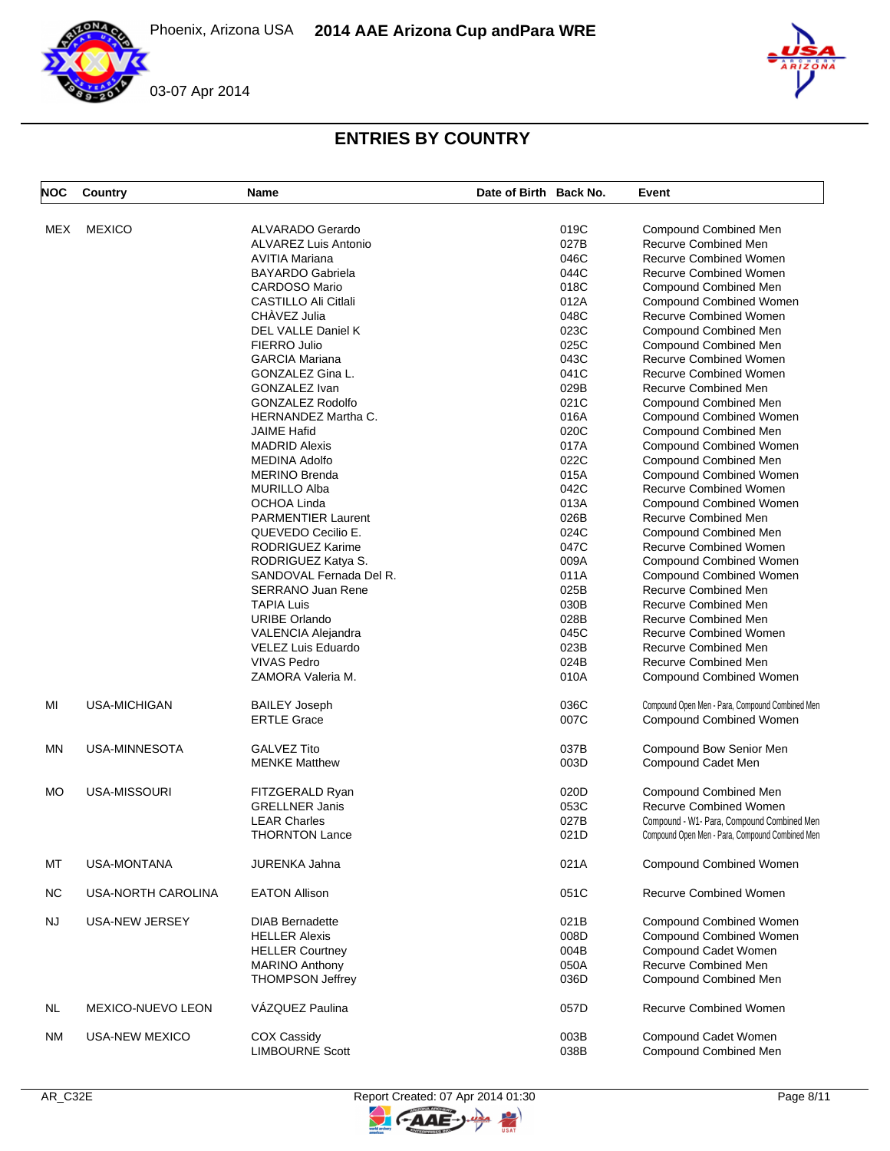



# **ENTRIES BY COUNTRY**

| <b>NOC</b> | Country             | <b>Name</b>                 | Date of Birth Back No. |      | Event                                           |
|------------|---------------------|-----------------------------|------------------------|------|-------------------------------------------------|
| <b>MEX</b> | <b>MEXICO</b>       | <b>ALVARADO Gerardo</b>     |                        | 019C | Compound Combined Men                           |
|            |                     |                             |                        |      |                                                 |
|            |                     | <b>ALVAREZ Luis Antonio</b> |                        | 027B | Recurve Combined Men                            |
|            |                     | <b>AVITIA Mariana</b>       |                        | 046C | <b>Recurve Combined Women</b>                   |
|            |                     | <b>BAYARDO Gabriela</b>     |                        | 044C | <b>Recurve Combined Women</b>                   |
|            |                     | <b>CARDOSO Mario</b>        |                        | 018C | Compound Combined Men                           |
|            |                     | CASTILLO Ali Citlali        |                        | 012A | Compound Combined Women                         |
|            |                     | CHÀVEZ Julia                |                        | 048C | <b>Recurve Combined Women</b>                   |
|            |                     | <b>DEL VALLE Daniel K</b>   |                        | 023C | <b>Compound Combined Men</b>                    |
|            |                     | FIERRO Julio                |                        | 025C | Compound Combined Men                           |
|            |                     | <b>GARCIA Mariana</b>       |                        | 043C | Recurve Combined Women                          |
|            |                     | GONZALEZ Gina L.            |                        | 041C | <b>Recurve Combined Women</b>                   |
|            |                     |                             |                        |      |                                                 |
|            |                     | <b>GONZALEZ Ivan</b>        |                        | 029B | <b>Recurve Combined Men</b>                     |
|            |                     | <b>GONZALEZ Rodolfo</b>     |                        | 021C | Compound Combined Men                           |
|            |                     | <b>HERNANDEZ Martha C.</b>  |                        | 016A | Compound Combined Women                         |
|            |                     | <b>JAIME Hafid</b>          |                        | 020C | Compound Combined Men                           |
|            |                     | <b>MADRID Alexis</b>        |                        | 017A | <b>Compound Combined Women</b>                  |
|            |                     | <b>MEDINA Adolfo</b>        |                        | 022C | Compound Combined Men                           |
|            |                     | <b>MERINO Brenda</b>        |                        | 015A | <b>Compound Combined Women</b>                  |
|            |                     |                             |                        | 042C |                                                 |
|            |                     | <b>MURILLO Alba</b>         |                        |      | Recurve Combined Women                          |
|            |                     | OCHOA Linda                 |                        | 013A | <b>Compound Combined Women</b>                  |
|            |                     | <b>PARMENTIER Laurent</b>   |                        | 026B | <b>Recurve Combined Men</b>                     |
|            |                     | QUEVEDO Cecilio E.          |                        | 024C | <b>Compound Combined Men</b>                    |
|            |                     | RODRIGUEZ Karime            |                        | 047C | <b>Recurve Combined Women</b>                   |
|            |                     | RODRIGUEZ Katya S.          |                        | 009A | <b>Compound Combined Women</b>                  |
|            |                     | SANDOVAL Fernada Del R.     |                        | 011A | <b>Compound Combined Women</b>                  |
|            |                     | <b>SERRANO Juan Rene</b>    |                        | 025B | Recurve Combined Men                            |
|            |                     | <b>TAPIA Luis</b>           |                        | 030B | <b>Recurve Combined Men</b>                     |
|            |                     |                             |                        |      |                                                 |
|            |                     | <b>URIBE Orlando</b>        |                        | 028B | Recurve Combined Men                            |
|            |                     | VALENCIA Alejandra          |                        | 045C | <b>Recurve Combined Women</b>                   |
|            |                     | VELEZ Luis Eduardo          |                        | 023B | <b>Recurve Combined Men</b>                     |
|            |                     | <b>VIVAS Pedro</b>          |                        | 024B | Recurve Combined Men                            |
|            |                     | ZAMORA Valeria M.           |                        | 010A | Compound Combined Women                         |
| MI         | <b>USA-MICHIGAN</b> | <b>BAILEY Joseph</b>        |                        | 036C | Compound Open Men - Para, Compound Combined Men |
|            |                     | <b>ERTLE Grace</b>          |                        | 007C | Compound Combined Women                         |
| MN         | USA-MINNESOTA       | <b>GALVEZ Tito</b>          |                        | 037B | Compound Bow Senior Men                         |
|            |                     | <b>MENKE Matthew</b>        |                        | 003D | Compound Cadet Men                              |
|            |                     |                             |                        |      |                                                 |
| MO         | USA-MISSOURI        | FITZGERALD Ryan             |                        | 020D | Compound Combined Men                           |
|            |                     |                             |                        |      |                                                 |
|            |                     | <b>GRELLNER Janis</b>       |                        | 053C | <b>Recurve Combined Women</b>                   |
|            |                     | <b>LEAR Charles</b>         |                        | 027B | Compound - W1- Para, Compound Combined Men      |
|            |                     | <b>THORNTON Lance</b>       |                        | 021D | Compound Open Men - Para, Compound Combined Men |
| MT         | <b>USA-MONTANA</b>  | <b>JURENKA Jahna</b>        |                        | 021A | <b>Compound Combined Women</b>                  |
| <b>NC</b>  | USA-NORTH CAROLINA  | <b>EATON Allison</b>        |                        | 051C | <b>Recurve Combined Women</b>                   |
| <b>NJ</b>  | USA-NEW JERSEY      | <b>DIAB Bernadette</b>      |                        | 021B | Compound Combined Women                         |
|            |                     | <b>HELLER Alexis</b>        |                        | 008D | Compound Combined Women                         |
|            |                     | <b>HELLER Courtney</b>      |                        | 004B | Compound Cadet Women                            |
|            |                     | <b>MARINO Anthony</b>       |                        | 050A | Recurve Combined Men                            |
|            |                     |                             |                        |      |                                                 |
|            |                     | <b>THOMPSON Jeffrey</b>     |                        | 036D | Compound Combined Men                           |
| NL         | MEXICO-NUEVO LEON   | VÁZQUEZ Paulina             |                        | 057D | Recurve Combined Women                          |
| ΝM         | USA-NEW MEXICO      | COX Cassidy                 |                        | 003B | Compound Cadet Women                            |
|            |                     | <b>LIMBOURNE Scott</b>      |                        | 038B | Compound Combined Men                           |

 $\blacktriangleright$ 

**CAAE**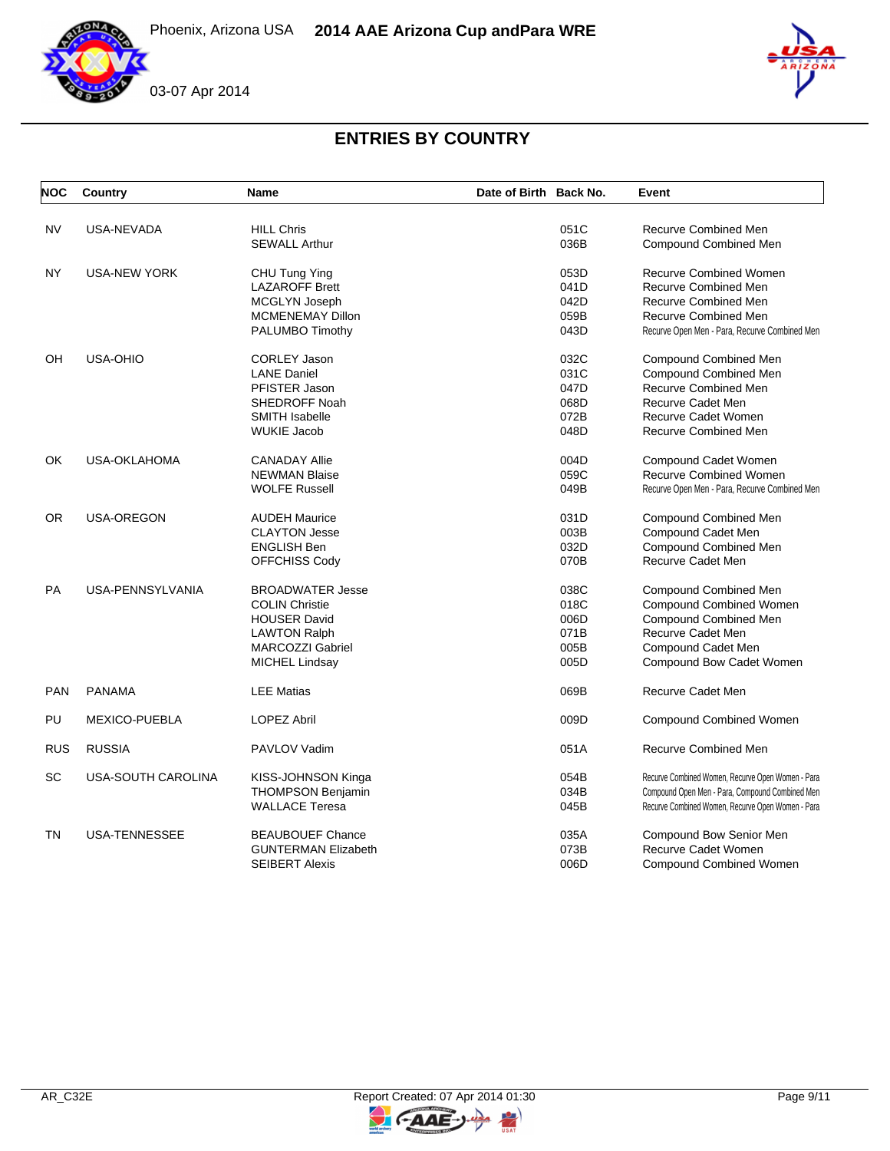





| <b>NOC</b> | Country              | <b>Name</b>                | Date of Birth Back No. | Event                                             |
|------------|----------------------|----------------------------|------------------------|---------------------------------------------------|
| <b>NV</b>  | <b>USA-NEVADA</b>    | <b>HILL Chris</b>          | 051C                   | <b>Recurve Combined Men</b>                       |
|            |                      | <b>SEWALL Arthur</b>       | 036B                   | Compound Combined Men                             |
| NY         | <b>USA-NEW YORK</b>  | CHU Tung Ying              | 053D                   | <b>Recurve Combined Women</b>                     |
|            |                      | <b>LAZAROFF Brett</b>      | 041D                   | Recurve Combined Men                              |
|            |                      | MCGLYN Joseph              | 042D                   | Recurve Combined Men                              |
|            |                      | <b>MCMENEMAY Dillon</b>    | 059B                   | <b>Recurve Combined Men</b>                       |
|            |                      | PALUMBO Timothy            | 043D                   | Recurve Open Men - Para, Recurve Combined Men     |
| OH         | <b>USA-OHIO</b>      | <b>CORLEY Jason</b>        | 032C                   | Compound Combined Men                             |
|            |                      | <b>LANE Daniel</b>         | 031C                   | Compound Combined Men                             |
|            |                      | PFISTER Jason              | 047D                   | Recurve Combined Men                              |
|            |                      | <b>SHEDROFF Noah</b>       | 068D                   | <b>Recurve Cadet Men</b>                          |
|            |                      | <b>SMITH Isabelle</b>      | 072B                   | Recurve Cadet Women                               |
|            |                      | <b>WUKIE Jacob</b>         | 048D                   | <b>Recurve Combined Men</b>                       |
| <b>OK</b>  | <b>USA-OKLAHOMA</b>  | <b>CANADAY Allie</b>       | 004D                   | Compound Cadet Women                              |
|            |                      | <b>NEWMAN Blaise</b>       | 059C                   | <b>Recurve Combined Women</b>                     |
|            |                      | <b>WOLFE Russell</b>       | 049B                   | Recurve Open Men - Para, Recurve Combined Men     |
| <b>OR</b>  | USA-OREGON           | <b>AUDEH Maurice</b>       | 031D                   | Compound Combined Men                             |
|            |                      | <b>CLAYTON Jesse</b>       | 003B                   | Compound Cadet Men                                |
|            |                      | <b>ENGLISH Ben</b>         | 032D                   | <b>Compound Combined Men</b>                      |
|            |                      | OFFCHISS Cody              | 070B                   | <b>Recurve Cadet Men</b>                          |
| PA         | USA-PENNSYLVANIA     | <b>BROADWATER Jesse</b>    | 038C                   | Compound Combined Men                             |
|            |                      | <b>COLIN Christie</b>      | 018C                   | Compound Combined Women                           |
|            |                      | <b>HOUSER David</b>        | 006D                   | <b>Compound Combined Men</b>                      |
|            |                      | <b>LAWTON Ralph</b>        | 071B                   | Recurve Cadet Men                                 |
|            |                      | <b>MARCOZZI Gabriel</b>    | 005B                   | Compound Cadet Men                                |
|            |                      | <b>MICHEL Lindsay</b>      | 005D                   | Compound Bow Cadet Women                          |
| <b>PAN</b> | <b>PANAMA</b>        | <b>LEE Matias</b>          | 069B                   | <b>Recurve Cadet Men</b>                          |
| PU         | <b>MEXICO-PUEBLA</b> | <b>LOPEZ Abril</b>         | 009D                   | <b>Compound Combined Women</b>                    |
| <b>RUS</b> | <b>RUSSIA</b>        | PAVLOV Vadim               | 051A                   | <b>Recurve Combined Men</b>                       |
| SC         | USA-SOUTH CAROLINA   | KISS-JOHNSON Kinga         | 054B                   | Recurve Combined Women, Recurve Open Women - Para |
|            |                      | THOMPSON Benjamin          | 034B                   | Compound Open Men - Para, Compound Combined Men   |
|            |                      | <b>WALLACE Teresa</b>      | 045B                   | Recurve Combined Women, Recurve Open Women - Para |
| <b>TN</b>  | <b>USA-TENNESSEE</b> | <b>BEAUBOUEF Chance</b>    | 035A                   | Compound Bow Senior Men                           |
|            |                      | <b>GUNTERMAN Elizabeth</b> | 073B                   | Recurve Cadet Women                               |
|            |                      | <b>SEIBERT Alexis</b>      | 006D                   | <b>Compound Combined Women</b>                    |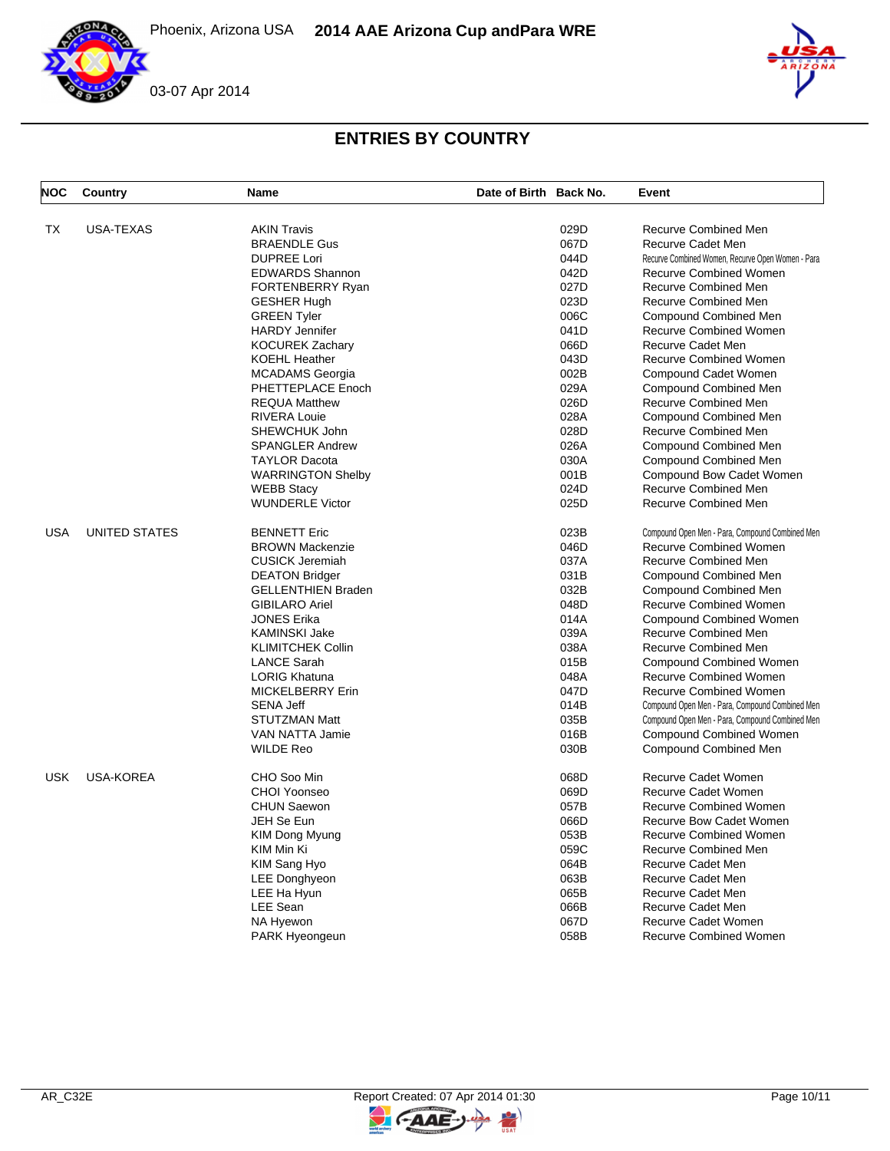

| <b>NOC</b> | Country              | <b>Name</b>               | Date of Birth Back No. |      | Event                                                    |
|------------|----------------------|---------------------------|------------------------|------|----------------------------------------------------------|
| <b>TX</b>  | <b>USA-TEXAS</b>     | <b>AKIN Travis</b>        |                        | 029D | <b>Recurve Combined Men</b>                              |
|            |                      | <b>BRAENDLE Gus</b>       |                        | 067D | <b>Recurve Cadet Men</b>                                 |
|            |                      | <b>DUPREE Lori</b>        |                        | 044D | Recurve Combined Women, Recurve Open Women - Para        |
|            |                      | <b>EDWARDS Shannon</b>    |                        | 042D | <b>Recurve Combined Women</b>                            |
|            |                      |                           |                        | 027D | <b>Recurve Combined Men</b>                              |
|            |                      | <b>FORTENBERRY Ryan</b>   |                        |      |                                                          |
|            |                      | <b>GESHER Hugh</b>        |                        | 023D | Recurve Combined Men                                     |
|            |                      | <b>GREEN Tyler</b>        |                        | 006C | <b>Compound Combined Men</b>                             |
|            |                      | <b>HARDY Jennifer</b>     |                        | 041D | <b>Recurve Combined Women</b>                            |
|            |                      | <b>KOCUREK Zachary</b>    |                        | 066D | <b>Recurve Cadet Men</b>                                 |
|            |                      | <b>KOEHL Heather</b>      |                        | 043D | <b>Recurve Combined Women</b>                            |
|            |                      | <b>MCADAMS</b> Georgia    |                        | 002B | Compound Cadet Women                                     |
|            |                      | PHETTEPLACE Enoch         |                        | 029A | Compound Combined Men                                    |
|            |                      | <b>REQUA Matthew</b>      |                        | 026D | <b>Recurve Combined Men</b>                              |
|            |                      | <b>RIVERA Louie</b>       |                        | 028A | Compound Combined Men                                    |
|            |                      | SHEWCHUK John             |                        | 028D | Recurve Combined Men                                     |
|            |                      | <b>SPANGLER Andrew</b>    |                        | 026A | <b>Compound Combined Men</b>                             |
|            |                      | <b>TAYLOR Dacota</b>      |                        | 030A | Compound Combined Men                                    |
|            |                      | <b>WARRINGTON Shelby</b>  |                        | 001B | Compound Bow Cadet Women                                 |
|            |                      | <b>WEBB Stacy</b>         |                        | 024D | <b>Recurve Combined Men</b>                              |
|            |                      | <b>WUNDERLE Victor</b>    |                        | 025D | <b>Recurve Combined Men</b>                              |
| <b>USA</b> | <b>UNITED STATES</b> | <b>BENNETT Eric</b>       |                        | 023B | Compound Open Men - Para, Compound Combined Men          |
|            |                      | <b>BROWN Mackenzie</b>    |                        | 046D | <b>Recurve Combined Women</b>                            |
|            |                      | <b>CUSICK Jeremiah</b>    |                        | 037A | Recurve Combined Men                                     |
|            |                      | <b>DEATON Bridger</b>     |                        | 031B | Compound Combined Men                                    |
|            |                      | <b>GELLENTHIEN Braden</b> |                        | 032B | Compound Combined Men                                    |
|            |                      | <b>GIBILARO Ariel</b>     |                        | 048D | <b>Recurve Combined Women</b>                            |
|            |                      | <b>JONES Erika</b>        |                        | 014A | <b>Compound Combined Women</b>                           |
|            |                      | <b>KAMINSKI Jake</b>      |                        | 039A | <b>Recurve Combined Men</b>                              |
|            |                      | <b>KLIMITCHEK Collin</b>  |                        | 038A | Recurve Combined Men                                     |
|            |                      | <b>LANCE Sarah</b>        |                        | 015B |                                                          |
|            |                      | <b>LORIG Khatuna</b>      |                        | 048A | Compound Combined Women<br><b>Recurve Combined Women</b> |
|            |                      |                           |                        |      |                                                          |
|            |                      | MICKELBERRY Erin          |                        | 047D | <b>Recurve Combined Women</b>                            |
|            |                      | <b>SENA Jeff</b>          |                        | 014B | Compound Open Men - Para, Compound Combined Men          |
|            |                      | <b>STUTZMAN Matt</b>      |                        | 035B | Compound Open Men - Para, Compound Combined Men          |
|            |                      | VAN NATTA Jamie           |                        | 016B | <b>Compound Combined Women</b>                           |
|            |                      | <b>WILDE Reo</b>          |                        | 030B | Compound Combined Men                                    |
| <b>USK</b> | <b>USA-KOREA</b>     | CHO Soo Min               |                        | 068D | Recurve Cadet Women                                      |
|            |                      | CHOI Yoonseo              |                        | 069D | <b>Recurve Cadet Women</b>                               |
|            |                      | <b>CHUN Saewon</b>        |                        | 057B | <b>Recurve Combined Women</b>                            |
|            |                      | JEH Se Eun                |                        | 066D | Recurve Bow Cadet Women                                  |
|            |                      | KIM Dong Myung            |                        | 053B | <b>Recurve Combined Women</b>                            |
|            |                      | KIM Min Ki                |                        | 059C | Recurve Combined Men                                     |
|            |                      | KIM Sang Hyo              |                        | 064B | <b>Recurve Cadet Men</b>                                 |
|            |                      | <b>LEE Donghyeon</b>      |                        | 063B | <b>Recurve Cadet Men</b>                                 |
|            |                      | LEE Ha Hyun               |                        | 065B | Recurve Cadet Men                                        |
|            |                      | LEE Sean                  |                        | 066B | <b>Recurve Cadet Men</b>                                 |
|            |                      | <b>NA Hyewon</b>          |                        | 067D | <b>Recurve Cadet Women</b>                               |
|            |                      | <b>PARK Hyeongeun</b>     |                        | 058B | <b>Recurve Combined Women</b>                            |
|            |                      |                           |                        |      |                                                          |